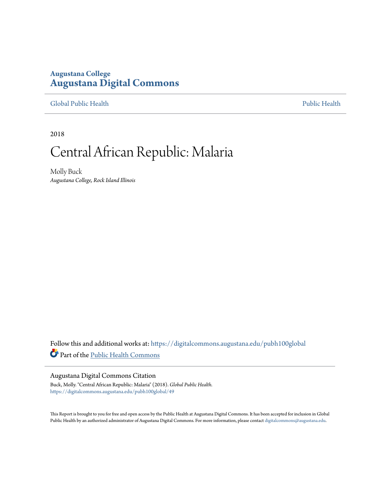## **Augustana College [Augustana Digital Commons](https://digitalcommons.augustana.edu?utm_source=digitalcommons.augustana.edu%2Fpubh100global%2F49&utm_medium=PDF&utm_campaign=PDFCoverPages)**

[Global Public Health](https://digitalcommons.augustana.edu/pubh100global?utm_source=digitalcommons.augustana.edu%2Fpubh100global%2F49&utm_medium=PDF&utm_campaign=PDFCoverPages) [Public Health](https://digitalcommons.augustana.edu/publichealth?utm_source=digitalcommons.augustana.edu%2Fpubh100global%2F49&utm_medium=PDF&utm_campaign=PDFCoverPages)

2018

# Central African Republic: Malaria

Molly Buck *Augustana College, Rock Island Illinois*

Follow this and additional works at: [https://digitalcommons.augustana.edu/pubh100global](https://digitalcommons.augustana.edu/pubh100global?utm_source=digitalcommons.augustana.edu%2Fpubh100global%2F49&utm_medium=PDF&utm_campaign=PDFCoverPages) Part of the [Public Health Commons](http://network.bepress.com/hgg/discipline/738?utm_source=digitalcommons.augustana.edu%2Fpubh100global%2F49&utm_medium=PDF&utm_campaign=PDFCoverPages)

#### Augustana Digital Commons Citation

Buck, Molly. "Central African Republic: Malaria" (2018). *Global Public Health.* [https://digitalcommons.augustana.edu/pubh100global/49](https://digitalcommons.augustana.edu/pubh100global/49?utm_source=digitalcommons.augustana.edu%2Fpubh100global%2F49&utm_medium=PDF&utm_campaign=PDFCoverPages)

This Report is brought to you for free and open access by the Public Health at Augustana Digital Commons. It has been accepted for inclusion in Global Public Health by an authorized administrator of Augustana Digital Commons. For more information, please contact [digitalcommons@augustana.edu.](mailto:digitalcommons@augustana.edu)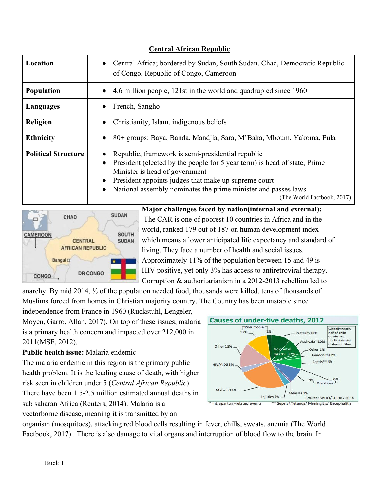| Location                   | Central Africa; bordered by Sudan, South Sudan, Chad, Democratic Republic<br>$\bullet$<br>of Congo, Republic of Congo, Cameroon                                                                                                                                                                                                                                 |
|----------------------------|-----------------------------------------------------------------------------------------------------------------------------------------------------------------------------------------------------------------------------------------------------------------------------------------------------------------------------------------------------------------|
| <b>Population</b>          | 4.6 million people, 121st in the world and quadrupled since 1960<br>$\bullet$                                                                                                                                                                                                                                                                                   |
| Languages                  | French, Sangho                                                                                                                                                                                                                                                                                                                                                  |
| <b>Religion</b>            | Christianity, Islam, indigenous beliefs<br>$\bullet$                                                                                                                                                                                                                                                                                                            |
| <b>Ethnicity</b>           | 80+ groups: Baya, Banda, Mandjia, Sara, M'Baka, Mboum, Yakoma, Fula<br>$\bullet$                                                                                                                                                                                                                                                                                |
| <b>Political Structure</b> | Republic, framework is semi-presidential republic<br>President (elected by the people for 5 year term) is head of state, Prime<br>$\bullet$<br>Minister is head of government<br>President appoints judges that make up supreme court<br>$\bullet$<br>National assembly nominates the prime minister and passes laws<br>$\bullet$<br>(The World Factbook, 2017) |

**Central African Republic**



**Major challenges faced by nation(internal and external):** The CAR is one of poorest 10 countries in Africa and in the world, ranked 179 out of 187 on human development index which means a lower anticipated life expectancy and standard of living. They face a number of health and social issues. Approximately 11% of the population between 15 and 49 is HIV positive, yet only 3% has access to antiretroviral therapy. Corruption & authoritarianism in a 2012-2013 rebellion led to

anarchy. By mid 2014, ⅓ of the population needed food, thousands were killed, tens of thousands of Muslims forced from homes in Christian majority country. The Country has been unstable since

independence from France in 1960 (Ruckstuhl, Lengeler, Moyen, Garro, Allan, 2017). On top of these issues, malaria is a primary health concern and impacted over 212,000 in 2011(MSF, 2012).

## **Public health issue:** Malaria endemic

The malaria endemic in this region is the primary public health problem. It is the leading cause of death, with higher risk seen in children under 5 (*Central African Republic*). There have been 1.5-2.5 million estimated annual deaths in sub saharan Africa (Reuters, 2014). Malaria is a vectorborne disease, meaning it is transmitted by an

**Causes of under-five deaths, 2012**  $F$ Pneumonia Globally nearly  $129$ half of child eterm 10% deaths are attributable to sphyxia\* 10% undernutrition Other 15% fatal Other 1%  $\overline{4}$ th: 32' Congenital 1% Sepsis\*\* 6% HIV/AIDS 3% 0% LDiarrhoea Malaria 25% Injuries 4% Source: WHO/CHERG 2014 \*\* Sepsis/ Tetanus/ Meningitis/ Encephalitis Intrapartum-related events

organism (mosquitoes), attacking red blood cells resulting in fever, chills, sweats, anemia (The World Factbook, 2017) . There is also damage to vital organs and interruption of blood flow to the brain. In